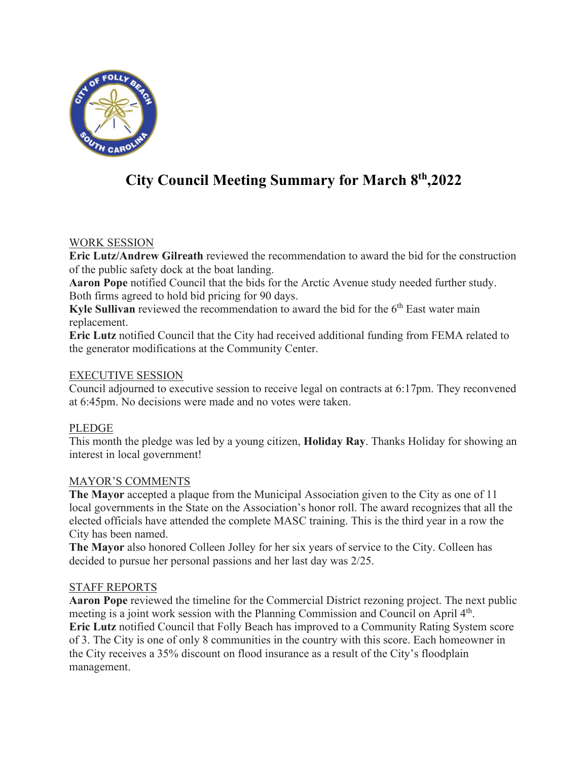

# **City Council Meeting Summary for March 8th,2022**

## WORK SESSION

**Eric Lutz/Andrew Gilreath** reviewed the recommendation to award the bid for the construction of the public safety dock at the boat landing.

**Aaron Pope** notified Council that the bids for the Arctic Avenue study needed further study. Both firms agreed to hold bid pricing for 90 days.

**Kyle Sullivan** reviewed the recommendation to award the bid for the 6<sup>th</sup> East water main replacement.

**Eric Lutz** notified Council that the City had received additional funding from FEMA related to the generator modifications at the Community Center.

# EXECUTIVE SESSION

Council adjourned to executive session to receive legal on contracts at 6:17pm. They reconvened at 6:45pm. No decisions were made and no votes were taken.

# PLEDGE

This month the pledge was led by a young citizen, **Holiday Ray**. Thanks Holiday for showing an interest in local government!

## MAYOR'S COMMENTS

**The Mayor** accepted a plaque from the Municipal Association given to the City as one of 11 local governments in the State on the Association's honor roll. The award recognizes that all the elected officials have attended the complete MASC training. This is the third year in a row the City has been named.

**The Mayor** also honored Colleen Jolley for her six years of service to the City. Colleen has decided to pursue her personal passions and her last day was 2/25.

## STAFF REPORTS

**Aaron Pope** reviewed the timeline for the Commercial District rezoning project. The next public meeting is a joint work session with the Planning Commission and Council on April 4<sup>th</sup>. **Eric Lutz** notified Council that Folly Beach has improved to a Community Rating System score of 3. The City is one of only 8 communities in the country with this score. Each homeowner in the City receives a 35% discount on flood insurance as a result of the City's floodplain management.